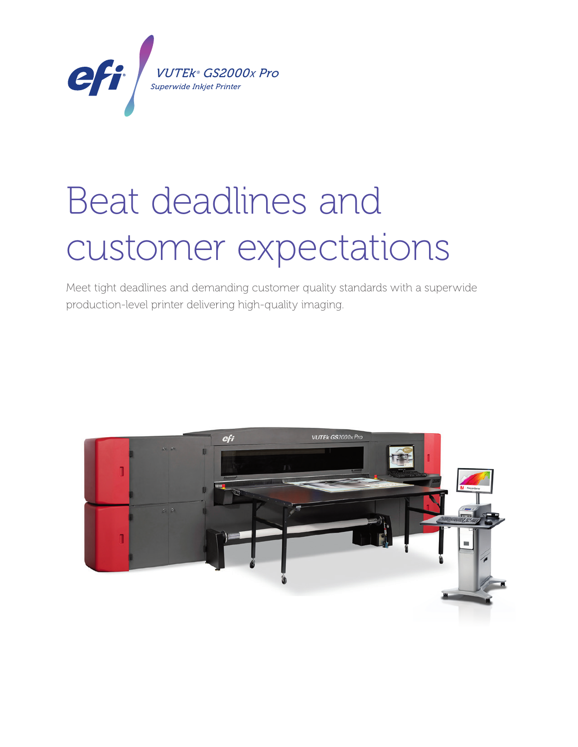

# Beat deadlines and customer expectations *VUTEk ® GS2000x Pro*

Meet tight deadlines and demanding customer quality standards with a superwide production-level printer delivering high-quality imaging.

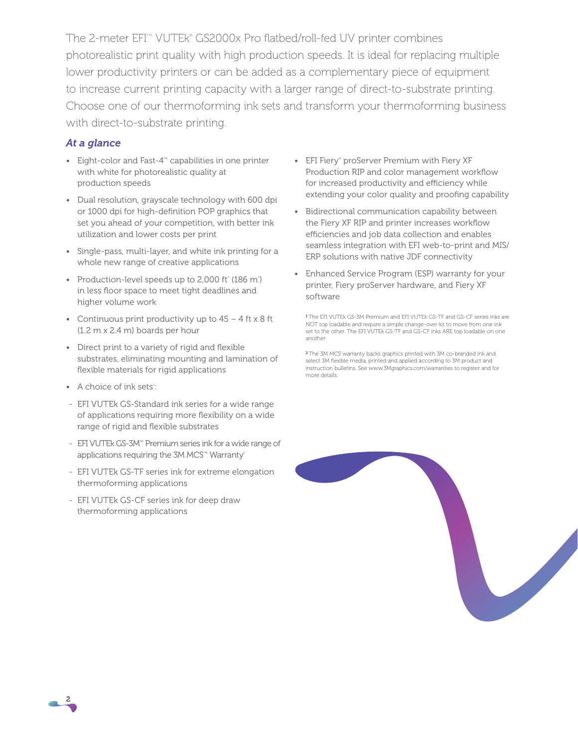The 2-meter EFI™ VUTEk® GS2000x Pro flatbed/roll-fed UV printer combines photorealistic print quality with high production speeds. It is ideal for replacing multiple lower productivity printers or can be added as a complementary piece of equipment to increase current printing capacity with a larger range of direct-to-substrate printing. Choose one of our thermoforming ink sets and transform your thermoforming business with direct-to-substrate printing.

## *At a glance*

- Eight-color and Fast- $4^{\mathsf{TM}}$  capabilities in one printer with white for photorealistic quality at production speeds
- Dual resolution, grayscale technology with 600 dpi or 1000 dpi for high-definition POP graphics that set you ahead of your competition, with better ink utilization and lower costs per print
- Single-pass, multi-layer, and white ink printing for a whole new range of creative applications
- Production-level speeds up to 2,000 ft<sup>2</sup> (186 m<sup>2</sup>) in less floor space to meet tight deadlines and higher volume work
- Continuous print productivity up to  $45 4$  ft x 8 ft (1.2 m x 2.4 m) boards per hour
- Direct print to a variety of rigid and flexible substrates, eliminating mounting and lamination of flexible materials for rigid applications
- A choice of ink sets<sup>1</sup>:
- EFI VUTEk GS-Standard ink series for a wide range of applications requiring more flexibility on a wide range of rigid and flexible substrates
- EFI VUTEk GS-3M<sup>TM</sup> Premium series ink for a wide range of applications requiring the 3M MCS<sup>TM</sup> Warranty<sup>2</sup>
- EFI VUTEk GS-TF series ink for extreme elongation thermoforming applications
- EFI VUTEk GS-CF series ink for deep draw thermoforming applications
- EFI Fiery® proServer Premium with Fiery XF Production RIP and color management workflow for increased productivity and efficiency while extending your color quality and proofing capability
- Bidirectional communication capability between the Fiery XF RIP and printer increases workflow efficiencies and job data collection and enables seamless integration with EFI web-to-print and MIS/ ERP solutions with native JDF connectivity
- Enhanced Service Program (ESP) warranty for your printer, Fiery proServer hardware, and Fiery XF software

<sup>1</sup>The EFI VUTEk GS-3M Premium and EFI VUTEk GS-TF and GS-CF series inks are NOT top loadable and require a simple change-over kit to move from one ink set to the other. The EFI VUTEk GS-TF and GS-CF inks ARE top loadable on one another.

<sup>2</sup>The 3M MCS warranty backs graphics printed with 3M co-branded ink and select 3M flexible media, printed and applied according to 3M product and instruction bulletins. See www.3Mgraphics.com/warranties to register and for more details.



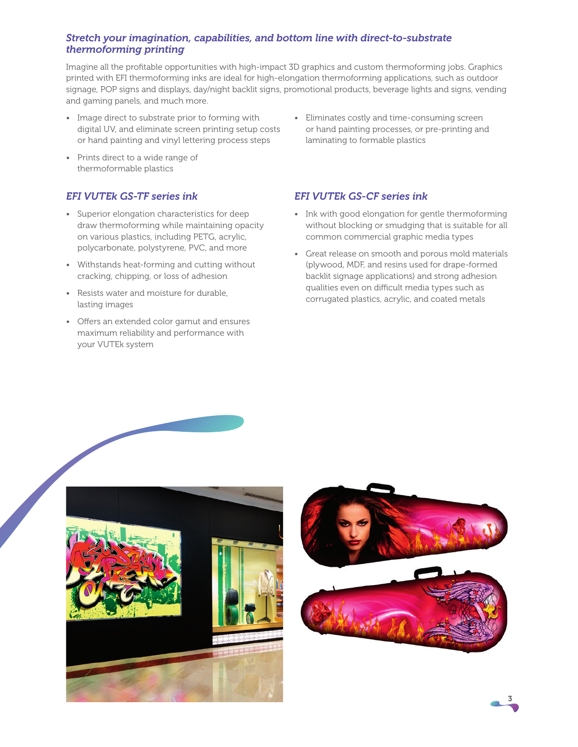## *Stretch your imagination, capabilities, and bottom line with direct-to-substrate thermoforming printing*

Imagine all the profitable opportunities with high-impact 3D graphics and custom thermoforming jobs. Graphics printed with EFI thermoforming inks are ideal for high-elongation thermoforming applications, such as outdoor signage, POP signs and displays, day/night backlit signs, promotional products, beverage lights and signs, vending and gaming panels, and much more.

- Image direct to substrate prior to forming with digital UV, and eliminate screen printing setup costs or hand painting and vinyl lettering process steps
- Prints direct to a wide range of thermoformable plastics

## *EFI VUTEk GS-TF series ink*

- Superior elongation characteristics for deep draw thermoforming while maintaining opacity on various plastics, including PETG, acrylic, polycarbonate, polystyrene, PVC, and more
- Withstands heat-forming and cutting without cracking, chipping, or loss of adhesion
- Resists water and moisture for durable, lasting images
- Offers an extended color gamut and ensures maximum reliability and performance with your VUTEk system

• Eliminates costly and time-consuming screen or hand painting processes, or pre-printing and laminating to formable plastics

## *EFI VUTEk GS-CF series ink*

- Ink with good elongation for gentle thermoforming without blocking or smudging that is suitable for all common commercial graphic media types
- Great release on smooth and porous mold materials (plywood, MDF, and resins used for drape-formed backlit signage applications) and strong adhesion qualities even on difficult media types such as corrugated plastics, acrylic, and coated metals